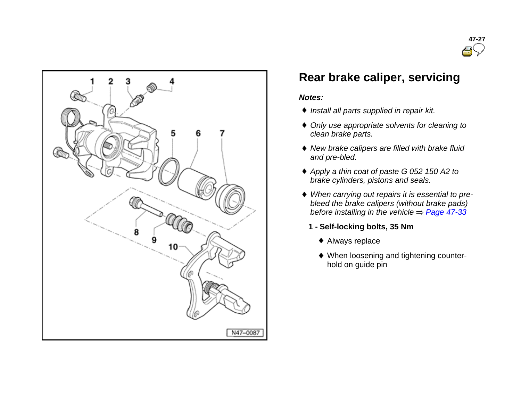



# **Rear brake caliper, servicing**

#### *Notes:*

- *Install all parts supplied in repair kit.*
- *Only use appropriate solvents for cleaning to clean brake parts.*
- *New brake calipers are filled with brake fluid and pre-bled.*
- *Apply a thin coat of paste G 052 150 A2 to brake cylinders, pistons and seals.*
- *When carrying out repairs it is essential to prebleed the brake calipers (without brake pads) before installing in the vehicle*  $\Rightarrow$  *Page 47-33* 
	- **1 - Self-locking bolts, 35 Nm**
		- Always replace
		- When loosening and tightening counterhold on guide pin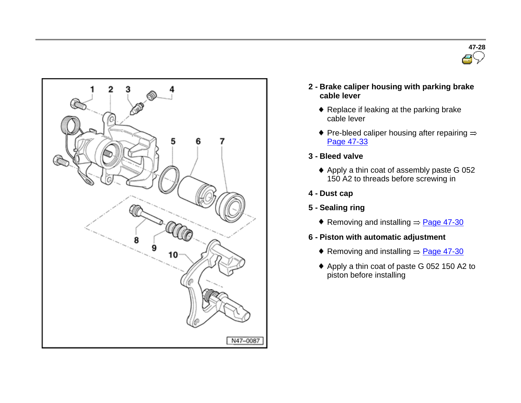



- **2 - Brake caliper housing with parking brake cable lever**
	- Replace if leaking at the parking brake cable lever
	- $\blacklozenge$  Pre-bleed caliper housing after repairing  $\Rightarrow$ Page 47-33
- **3 - Bleed valve**
	- Apply a thin coat of assembly paste G 052 150 A2 to threads before screwing in
- **4 - Dust cap**
- **5 - Sealing ring**
	- Removing and installing  $\Rightarrow$  Page 47-30
- **6 - Piston with automatic adjustment**
	- Removing and installing  $\Rightarrow$  Page 47-30
	- ◆ Apply a thin coat of paste G 052 150 A2 to piston before installing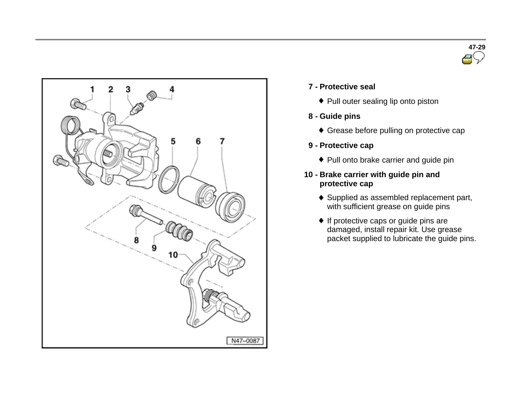



### **7 - Protective seal**

- Pull outer sealing lip onto piston
- **8 - Guide pins**
	- Grease before pulling on protective cap
- **9 - Protective cap**
	- Pull onto brake carrier and guide pin
- **10 - Brake carrier with guide pin and protective cap**
	- ◆ Supplied as assembled replacement part, with sufficient grease on guide pins
	- ◆ If protective caps or guide pins are damaged, install repair kit. Use grease packet supplied to lubricate the guide pins.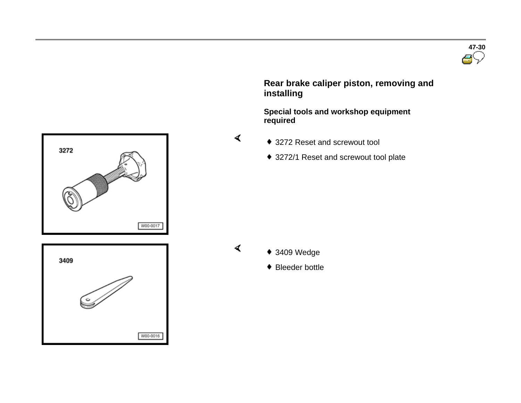

 **Rear brake caliper piston, removing and installing**

 **Special tools and workshop equipment required** 

- 3272 Reset and screwout tool
	- ◆ 3272/1 Reset and screwout tool plate





◆ Bleeder bottle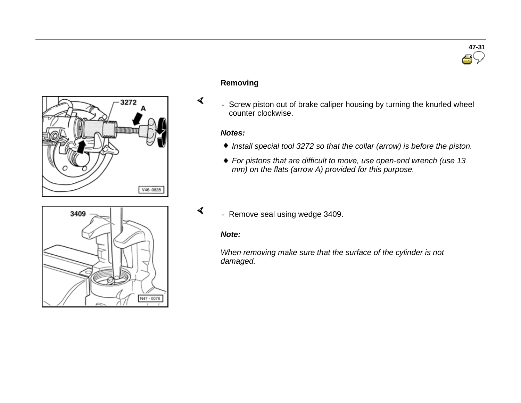

#### **Removing**

- Screw piston out of brake caliper housing by turning the knurled wheel counter clockwise.

#### *Notes:*

 $\blacktriangleleft$ 

 $\blacktriangleleft$ 

- *Install special tool 3272 so that the collar (arrow) is before the piston.*
- *For pistons that are difficult to move, use open-end wrench (use 13 mm) on the flats (arrow A) provided for this purpose.*



# - Remove seal using wedge 3409.

#### *Note:*

*When removing make sure that the surface of the cylinder is not damaged.*

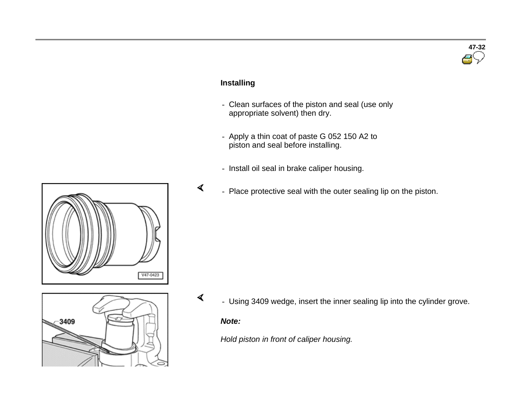# **47-32**

### **Installing**

- Clean surfaces of the piston and seal (use only appropriate solvent) then dry.
- Apply a thin coat of paste G 052 150 A2 to piston and seal before installing.
- Install oil seal in brake caliper housing.
- Place protective seal with the outer sealing lip on the piston.





- Using 3409 wedge, insert the inner sealing lip into the cylinder grove.

#### *Note:*

 $\blacktriangleleft$ 

 $\blacktriangleleft$ 

*Hold piston in front of caliper housing.*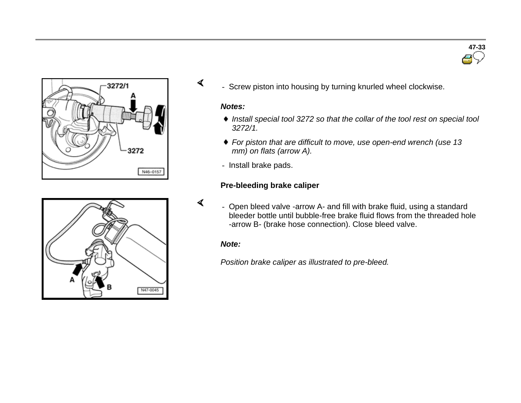





#### *Notes:*

- *Install special tool 3272 so that the collar of the tool rest on special tool 3272/1.*
- *For piston that are difficult to move, use open-end wrench (use 13 mm) on flats (arrow A).*
- Install brake pads.

#### **Pre-bleeding brake caliper**

 $\blacktriangleleft$ - Open bleed valve -arrow A- and fill with brake fluid, using a standard bleeder bottle until bubble-free brake fluid flows from the threaded hole -arrow B- (brake hose connection). Close bleed valve.

#### *Note:*

*Position brake caliper as illustrated to pre-bleed.*